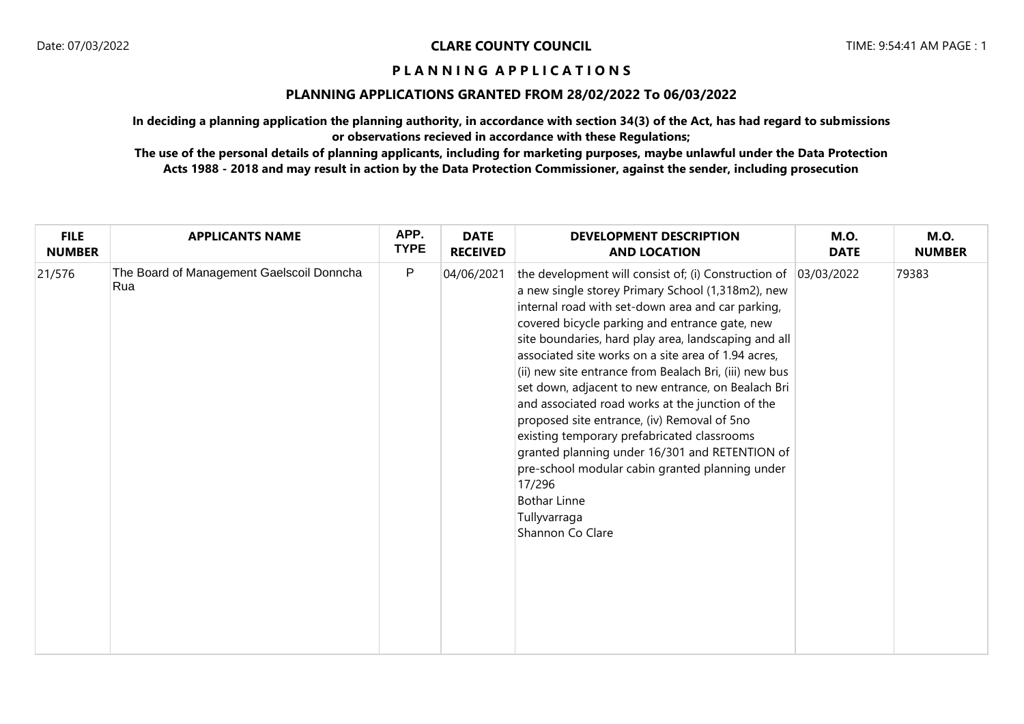## **PLANNING APPLICATIONS GRANTED FROM 28/02/2022 To 06/03/2022**

**In deciding a planning application the planning authority, in accordance with section 34(3) of the Act, has had regard to submissions or observations recieved in accordance with these Regulations;**

| <b>FILE</b>   | <b>APPLICANTS NAME</b>                           | APP.        | <b>DATE</b>     | <b>DEVELOPMENT DESCRIPTION</b>                                                                                                                                                                                                                                                                                                                                                                                                                                                                                                                                                                                                                                                                                                                                                             | <b>M.O.</b> | <b>M.O.</b>   |
|---------------|--------------------------------------------------|-------------|-----------------|--------------------------------------------------------------------------------------------------------------------------------------------------------------------------------------------------------------------------------------------------------------------------------------------------------------------------------------------------------------------------------------------------------------------------------------------------------------------------------------------------------------------------------------------------------------------------------------------------------------------------------------------------------------------------------------------------------------------------------------------------------------------------------------------|-------------|---------------|
| <b>NUMBER</b> |                                                  | <b>TYPE</b> | <b>RECEIVED</b> | <b>AND LOCATION</b>                                                                                                                                                                                                                                                                                                                                                                                                                                                                                                                                                                                                                                                                                                                                                                        | <b>DATE</b> | <b>NUMBER</b> |
| 21/576        | The Board of Management Gaelscoil Donncha<br>Rua | P           | 04/06/2021      | the development will consist of; (i) Construction of $ 03/03/2022 $<br>a new single storey Primary School (1,318m2), new<br>internal road with set-down area and car parking,<br>covered bicycle parking and entrance gate, new<br>site boundaries, hard play area, landscaping and all<br>associated site works on a site area of 1.94 acres,<br>(ii) new site entrance from Bealach Bri, (iii) new bus<br>set down, adjacent to new entrance, on Bealach Bri<br>and associated road works at the junction of the<br>proposed site entrance, (iv) Removal of 5no<br>existing temporary prefabricated classrooms<br>granted planning under 16/301 and RETENTION of<br>pre-school modular cabin granted planning under<br>17/296<br><b>Bothar Linne</b><br>Tullyvarraga<br>Shannon Co Clare |             | 79383         |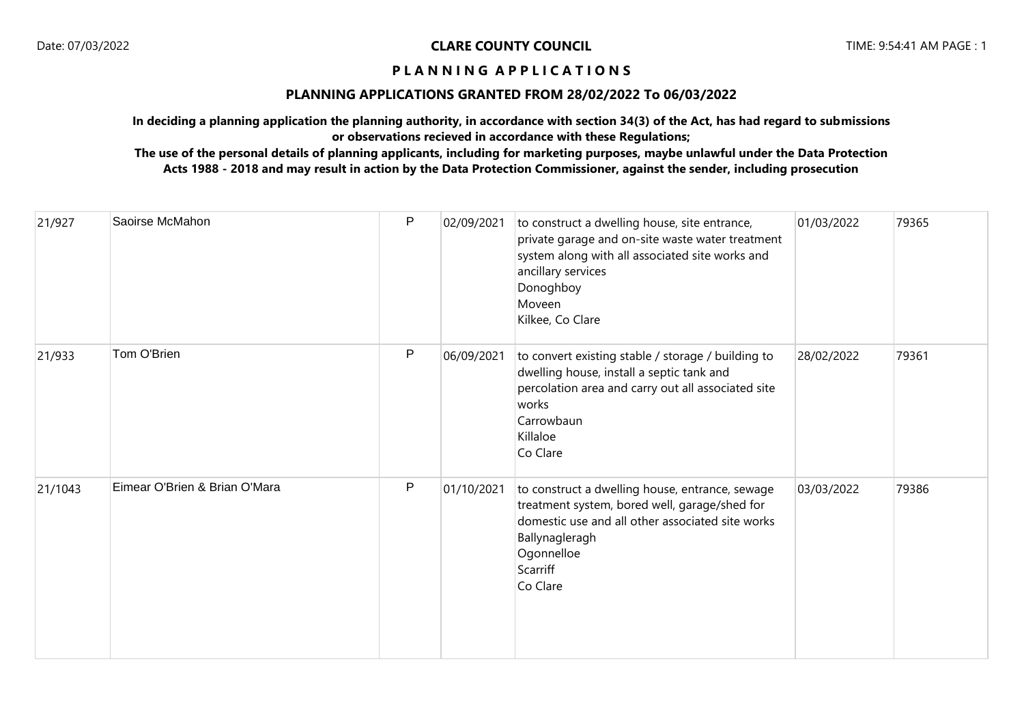### **PLANNING APPLICATIONS GRANTED FROM 28/02/2022 To 06/03/2022**

**In deciding a planning application the planning authority, in accordance with section 34(3) of the Act, has had regard to submissions or observations recieved in accordance with these Regulations;**

| 21/927  | Saoirse McMahon               | P | 02/09/2021 | to construct a dwelling house, site entrance,<br>private garage and on-site waste water treatment<br>system along with all associated site works and<br>ancillary services<br>Donoghboy<br>Moveen<br>Kilkee, Co Clare | 01/03/2022 | 79365 |
|---------|-------------------------------|---|------------|-----------------------------------------------------------------------------------------------------------------------------------------------------------------------------------------------------------------------|------------|-------|
| 21/933  | Tom O'Brien                   | P | 06/09/2021 | to convert existing stable / storage / building to<br>dwelling house, install a septic tank and<br>percolation area and carry out all associated site<br>works<br>Carrowbaun<br>Killaloe<br>Co Clare                  | 28/02/2022 | 79361 |
| 21/1043 | Eimear O'Brien & Brian O'Mara | P | 01/10/2021 | to construct a dwelling house, entrance, sewage<br>treatment system, bored well, garage/shed for<br>domestic use and all other associated site works<br>Ballynagleragh<br>Ogonnelloe<br>Scarriff<br>Co Clare          | 03/03/2022 | 79386 |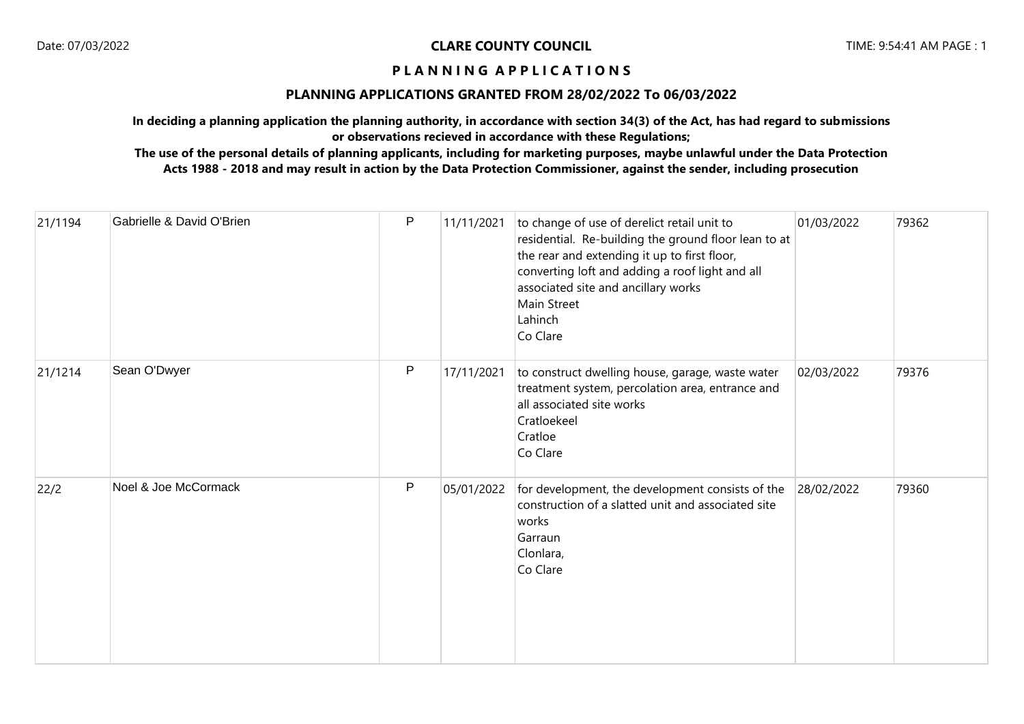### **PLANNING APPLICATIONS GRANTED FROM 28/02/2022 To 06/03/2022**

**In deciding a planning application the planning authority, in accordance with section 34(3) of the Act, has had regard to submissions or observations recieved in accordance with these Regulations;**

| 21/1194 | Gabrielle & David O'Brien | P | 11/11/2021 | to change of use of derelict retail unit to<br>residential. Re-building the ground floor lean to at<br>the rear and extending it up to first floor,<br>converting loft and adding a roof light and all<br>associated site and ancillary works<br>Main Street<br>Lahinch<br>Co Clare | 01/03/2022 | 79362 |
|---------|---------------------------|---|------------|-------------------------------------------------------------------------------------------------------------------------------------------------------------------------------------------------------------------------------------------------------------------------------------|------------|-------|
| 21/1214 | Sean O'Dwyer              | P | 17/11/2021 | to construct dwelling house, garage, waste water<br>treatment system, percolation area, entrance and<br>all associated site works<br>Cratloekeel<br>Cratloe<br>Co Clare                                                                                                             | 02/03/2022 | 79376 |
| 22/2    | Noel & Joe McCormack      | P | 05/01/2022 | for development, the development consists of the<br>construction of a slatted unit and associated site<br>works<br>Garraun<br>Clonlara,<br>Co Clare                                                                                                                                 | 28/02/2022 | 79360 |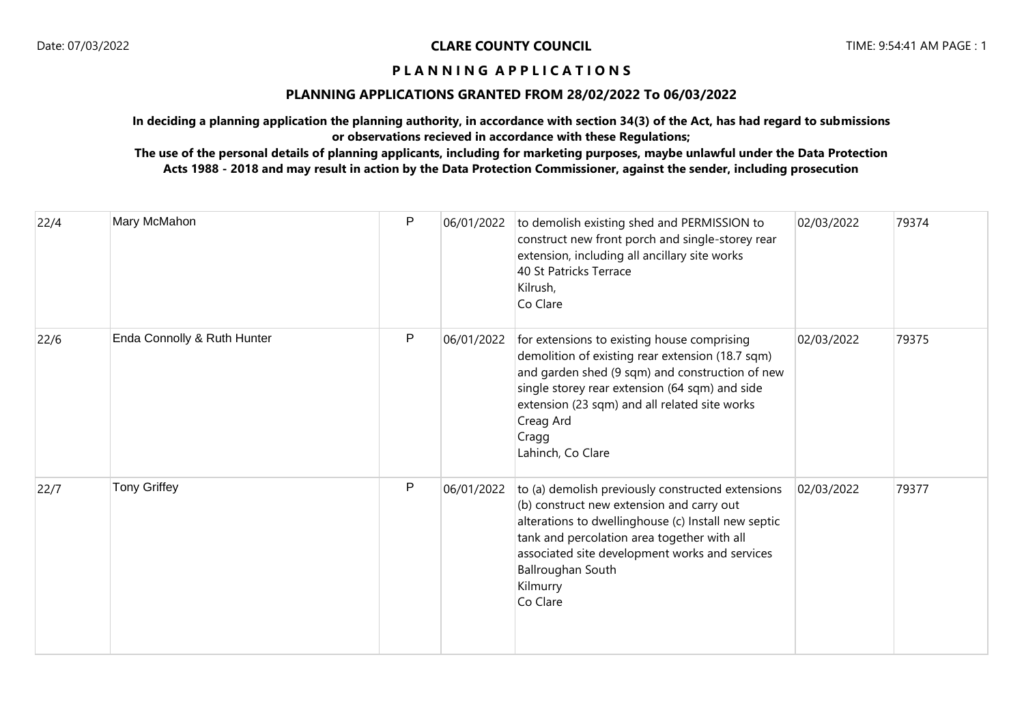## **PLANNING APPLICATIONS GRANTED FROM 28/02/2022 To 06/03/2022**

**In deciding a planning application the planning authority, in accordance with section 34(3) of the Act, has had regard to submissions or observations recieved in accordance with these Regulations;**

| 22/4 | Mary McMahon                | P | 06/01/2022 | to demolish existing shed and PERMISSION to<br>construct new front porch and single-storey rear<br>extension, including all ancillary site works<br>40 St Patricks Terrace<br>Kilrush,<br>Co Clare                                                                                                  | 02/03/2022 | 79374 |
|------|-----------------------------|---|------------|-----------------------------------------------------------------------------------------------------------------------------------------------------------------------------------------------------------------------------------------------------------------------------------------------------|------------|-------|
| 22/6 | Enda Connolly & Ruth Hunter | P | 06/01/2022 | for extensions to existing house comprising<br>demolition of existing rear extension (18.7 sqm)<br>and garden shed (9 sqm) and construction of new<br>single storey rear extension (64 sqm) and side<br>extension (23 sqm) and all related site works<br>Creag Ard<br>Cragg<br>Lahinch, Co Clare    | 02/03/2022 | 79375 |
| 22/7 | <b>Tony Griffey</b>         | P | 06/01/2022 | to (a) demolish previously constructed extensions<br>(b) construct new extension and carry out<br>alterations to dwellinghouse (c) Install new septic<br>tank and percolation area together with all<br>associated site development works and services<br>Ballroughan South<br>Kilmurry<br>Co Clare | 02/03/2022 | 79377 |